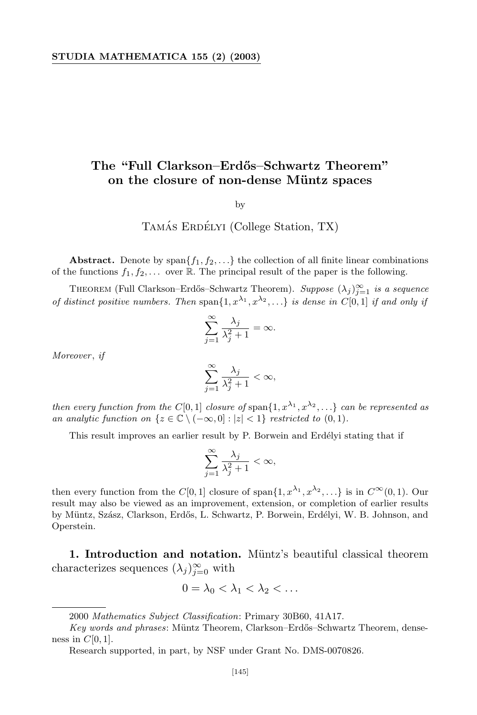## **The "Full Clarkson–Erd˝os–Schwartz Theorem" on** the closure of non-dense Müntz spaces

by

## TAMÁS ERDÉLYI (College Station, TX)

**Abstract.** Denote by  $\text{span}\{f_1, f_2, \ldots\}$  the collection of all finite linear combinations of the functions  $f_1, f_2, \ldots$  over  $\mathbb R$ . The principal result of the paper is the following.

THEOREM (Full Clarkson–Erdős–Schwartz Theorem). *Suppose*  $(\lambda_j)_{j=1}^{\infty}$  *is a sequence* of distinct positive numbers. Then span $\{1, x^{\lambda_1}, x^{\lambda_2}, ...\}$  is dense in  $C[0,1]$  if and only if

$$
\sum_{j=1}^{\infty} \frac{\lambda_j}{\lambda_j^2 + 1} = \infty.
$$

*Moreover*, *if*

$$
\sum_{j=1}^{\infty} \frac{\lambda_j}{\lambda_j^2 + 1} < \infty,
$$

then every function from the  $C[0,1]$  closure of span $\{1, x^{\lambda_1}, x^{\lambda_2}, ...\}$  can be represented as *an* analytic function on  $\{z \in \mathbb{C} \setminus (-\infty, 0] : |z| < 1\}$  restricted to  $(0, 1)$ *.* 

This result improves an earlier result by P. Borwein and Erdélyi stating that if

$$
\sum_{j=1}^{\infty} \frac{\lambda_j}{\lambda_j^2 + 1} < \infty,
$$

then every function from the  $C[0,1]$  closure of span $\{1, x^{\lambda_1}, x^{\lambda_2}, \ldots\}$  is in  $C^{\infty}(0,1)$ . Our result may also be viewed as an improvement, extension, or completion of earlier results by Müntz, Szász, Clarkson, Erdős, L. Schwartz, P. Borwein, Erdélyi, W. B. Johnson, and Operstein.

1. Introduction and notation. Müntz's beautiful classical theorem characterizes sequences  $(\lambda_j)_{j=0}^{\infty}$  with

$$
0=\lambda_0<\lambda_1<\lambda_2<\ldots
$$

<sup>2000</sup> *Mathematics Subject Classification*: Primary 30B60, 41A17.

*Key words* and *phrases*: Müntz Theorem, Clarkson–Erdős–Schwartz Theorem, denseness in  $C[0, 1]$ .

Research supported, in part, by NSF under Grant No. DMS-0070826.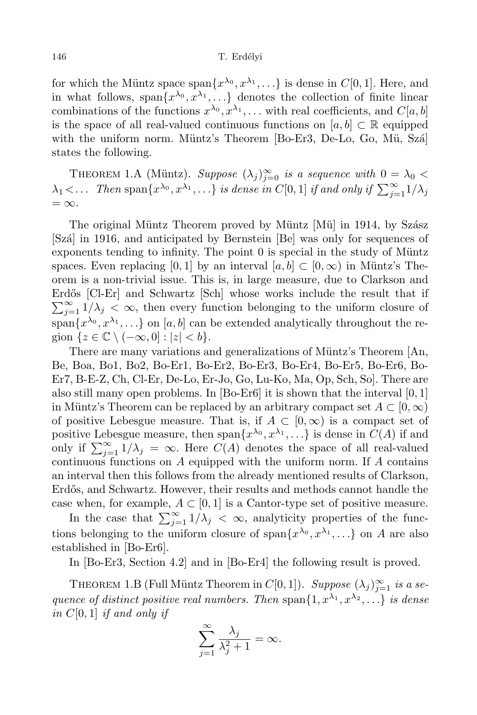for which the Müntz space span $\{x^{\lambda_0}, x^{\lambda_1}, ...\}$  is dense in  $C[0, 1]$ . Here, and in what follows, span $\{x^{\lambda_0}, x^{\lambda_1}, \ldots\}$  denotes the collection of finite linear combinations of the functions  $x^{\lambda_0}, x^{\lambda_1}, \ldots$  with real coefficients, and  $C[a, b]$ is the space of all real-valued continuous functions on  $[a, b] \subset \mathbb{R}$  equipped with the uniform norm. Müntz's Theorem  $[Bo-Er3, De-Lo, Go, Mü, Szá]$ states the following.

THEOREM 1.A (Müntz). *Suppose*  $(\lambda_j)_{j=0}^{\infty}$  *is a sequence with*  $0 = \lambda_0 <$  $\lambda_1$  <... Then span $\{x^{\lambda_0}, x^{\lambda_1}, ...\}$  is dense in  $C[0,1]$  if and only if  $\sum_{j=1}^{\infty} 1/\lambda_j$  $=\infty$ *.* 

The original Müntz Theorem proved by Müntz [Mü] in 1914, by Szász [Szá] in 1916, and anticipated by Bernstein [Be] was only for sequences of exponents tending to infinity. The point  $\theta$  is special in the study of Müntz spaces. Even replacing [0, 1] by an interval  $[a, b] \subset [0, \infty)$  in Müntz's Theorem is a non-trivial issue. This is, in large measure, due to Clarkson and  $\sum_{j=1}^{\infty} 1/\lambda_j < \infty$ , then every function belonging to the uniform closure of Erdős [Cl-Er] and Schwartz [Sch] whose works include the result that if  $\text{span}\{x^{\lambda_0}, x^{\lambda_1}, \ldots\}$  on  $[a, b]$  can be extended analytically throughout the region  $\{z \in \mathbb{C} \setminus (-\infty, 0] : |z| < b\}.$ 

There are many variations and generalizations of Müntz's Theorem [An, Be, Boa, Bo1, Bo2, Bo-Er1, Bo-Er2, Bo-Er3, Bo-Er4, Bo-Er5, Bo-Er6, Bo-Er7, B-E-Z, Ch, Cl-Er, De-Lo, Er-Jo, Go, Lu-Ko, Ma, Op, Sch, So]. There are also still many open problems. In [Bo-Er6] it is shown that the interval [0*,* 1] in Müntz's Theorem can be replaced by an arbitrary compact set  $A \subset [0,\infty)$ of positive Lebesgue measure. That is, if  $A \subset [0,\infty)$  is a compact set of positive Lebesgue measure, then  $\text{span}\{x^{\lambda_0}, x^{\lambda_1}, \ldots\}$  is dense in  $C(A)$  if and only if  $\sum_{j=1}^{\infty} 1/\lambda_j = \infty$ . Here  $C(A)$  denotes the space of all real-valued continuous functions on *A* equipped with the uniform norm. If *A* contains an interval then this follows from the already mentioned results of Clarkson, Erdős, and Schwartz. However, their results and methods cannot handle the case when, for example,  $A \subset [0,1]$  is a Cantor-type set of positive measure.

In the case that  $\sum_{j=1}^{\infty} 1/\lambda_j < \infty$ , analyticity properties of the functions belonging to the uniform closure of span $\{x^{\lambda_0}, x^{\lambda_1}, ...\}$  on *A* are also established in [Bo-Er6].

In [Bo-Er3, Section 4.2] and in [Bo-Er4] the following result is proved.

THEOREM 1.B (Full Müntz Theorem in  $C[0,1]$ ). *Suppose*  $(\lambda_j)_{j=1}^{\infty}$  *is a se*quence of distinct positive real numbers. Then span $\{1, x^{\lambda_1}, x^{\lambda_2}, \ldots\}$  is dense *in C*[0*,* 1] *if and only if*

$$
\sum_{j=1}^{\infty} \frac{\lambda_j}{\lambda_j^2 + 1} = \infty.
$$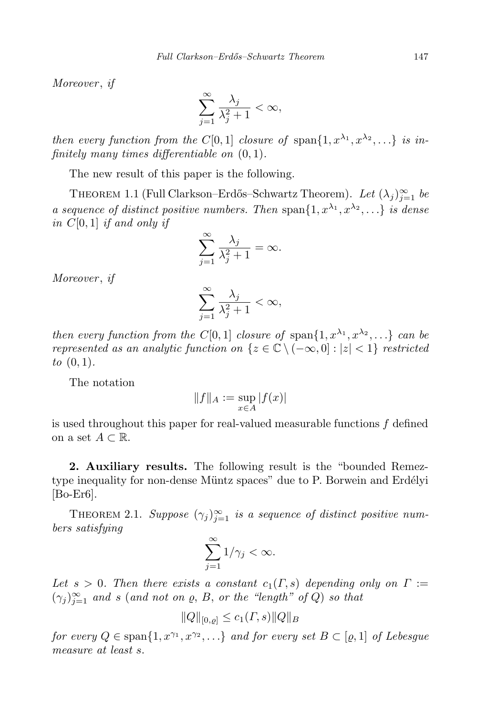*Moreover* , *if*

$$
\sum_{j=1}^{\infty} \frac{\lambda_j}{\lambda_j^2 + 1} < \infty,
$$

then every function from the  $C[0,1]$  closure of span $\{1, x^{\lambda_1}, x^{\lambda_2}, \ldots\}$  is in*finitely many times differentiable on* (0*,* 1)*.*

The new result of this paper is the following.

THEOREM 1.1 (Full Clarkson–Erdős–Schwartz Theorem). *Let*  $(\lambda_j)_{j=1}^{\infty}$  *be* a sequence of distinct positive numbers. Then span $\{1, x^{\lambda_1}, x^{\lambda_2}, ...\}$  is dense *in C*[0*,* 1] *if and only if*

$$
\sum_{j=1}^{\infty} \frac{\lambda_j}{\lambda_j^2 + 1} = \infty.
$$

*Moreover* , *if*

$$
\sum_{j=1}^{\infty} \frac{\lambda_j}{\lambda_j^2 + 1} < \infty,
$$

then every function from the  $C[0,1]$  closure of  $\text{span}\{1,x^{\lambda_1},x^{\lambda_2},\ldots\}$  can be *represented as an analytic function on*  $\{z \in \mathbb{C} \setminus (-\infty, 0] : |z| < 1\}$  *restricted to* (0*,* 1)*.*

The notation

$$
||f||_A := \sup_{x \in A} |f(x)|
$$

is used throughout this paper for real-valued measurable functions *f* defined on a set  $A \subset \mathbb{R}$ .

**2. Auxiliary results.** The following result is the "bounded Remeztype inequality for non-dense Müntz spaces" due to P. Borwein and Erdélyi [Bo-Er6].

THEOREM 2.1. *Suppose*  $(\gamma_j)_{j=1}^{\infty}$  *is a sequence of distinct positive numbers satisfying*

$$
\sum_{j=1}^{\infty} 1/\gamma_j < \infty.
$$

*Let*  $s > 0$ . Then there exists a constant  $c_1(\Gamma, s)$  depending only on  $\Gamma :=$  $(\gamma_j)_{j=1}^{\infty}$  *and s* (*and not on*  $\varrho$ , *B*, *or the "length" of Q*) *so that* 

$$
||Q||_{[0,\varrho]} \le c_1(\Gamma,s) ||Q||_B
$$

for every  $Q \in \text{span}\{1, x^{\gamma_1}, x^{\gamma_2}, \ldots\}$  and for every set  $B \subset [Q, 1]$  of Lebesgue *measure at least s.*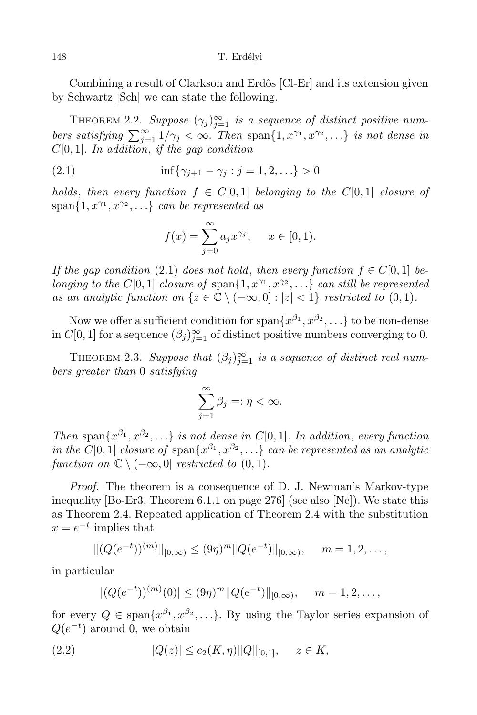Combining a result of Clarkson and Erdős [Cl-Er] and its extension given by Schwartz [Sch] we can state the following.

THEOREM 2.2. *Suppose*  $(\gamma_j)_{j=1}^{\infty}$  *is a sequence of distinct positive num*bers satisfying  $\sum_{j=1}^{\infty} 1/\gamma_j < \infty$ . Then span $\{1, x^{\gamma_1}, x^{\gamma_2}, ...\}$  is not dense in *C*[0*,* 1]*. In addition*, *if the gap condition*

(2.1) 
$$
\inf \{ \gamma_{j+1} - \gamma_j : j = 1, 2, \ldots \} > 0
$$

*holds, then every function*  $f \in C[0,1]$  *belonging to the*  $C[0,1]$  *closure of*  $span\{1, x^{\gamma_1}, x^{\gamma_2}, \ldots\}$  *can be represented as* 

$$
f(x) = \sum_{j=0}^{\infty} a_j x^{\gamma_j}, \quad x \in [0, 1).
$$

*If* the gap condition (2.1) does not hold, then every function  $f \in C[0,1]$  belonging to the  $C[0,1]$  closure of  $\text{span}\{1,x^{\gamma_1},x^{\gamma_2},\ldots\}$  can still be represented *as an analytic function on*  $\{z \in \mathbb{C} \setminus (-\infty, 0] : |z| < 1\}$  *restricted to* (0*,* 1)*.* 

Now we offer a sufficient condition for span $\{x^{\beta_1}, x^{\beta_2}, \ldots\}$  to be non-dense in  $C[0,1]$  for a sequence  $(\beta_j)_{j=1}^{\infty}$  of distinct positive numbers converging to 0.

THEOREM 2.3. *Suppose that*  $(\beta_j)_{j=1}^{\infty}$  *is a sequence of distinct real numbers greater than* 0 *satisfying*

$$
\sum_{j=1}^{\infty}\beta_j=:\eta<\infty.
$$

Then span $\{x^{\beta_1}, x^{\beta_2}, ...\}$  is not dense in C[0,1]. In addition, every function in the C[0, 1] closure of  $\text{span}\{x^{\beta_1}, x^{\beta_2}, ...\}$  can be represented as an analytic *function on*  $\mathbb{C} \setminus (-\infty, 0]$  *restricted to*  $(0, 1)$ *.* 

*Proof.* The theorem is a consequence of D. J. Newman's Markov-type inequality [Bo-Er3, Theorem 6.1.1 on page 276] (see also [Ne]). We state this as Theorem 2.4. Repeated application of Theorem 2.4 with the substitution  $x = e^{-t}$  implies that

$$
||(Q(e^{-t}))^{(m)}||_{[0,\infty)} \leq (9\eta)^m ||Q(e^{-t})||_{[0,\infty)}, \quad m=1,2,\ldots,
$$

in particular

$$
|(Q(e^{-t}))^{(m)}(0)| \leq (9\eta)^m ||Q(e^{-t})||_{[0,\infty)}, \quad m = 1, 2, \ldots,
$$

for every  $Q \in \text{span}\{x^{\beta_1}, x^{\beta_2}, ...\}$ . By using the Taylor series expansion of *Q*( $e^{-t}$ ) around 0, we obtain

$$
(2.2) \t |Q(z)| \le c_2(K,\eta) ||Q||_{[0,1]}, \quad z \in K,
$$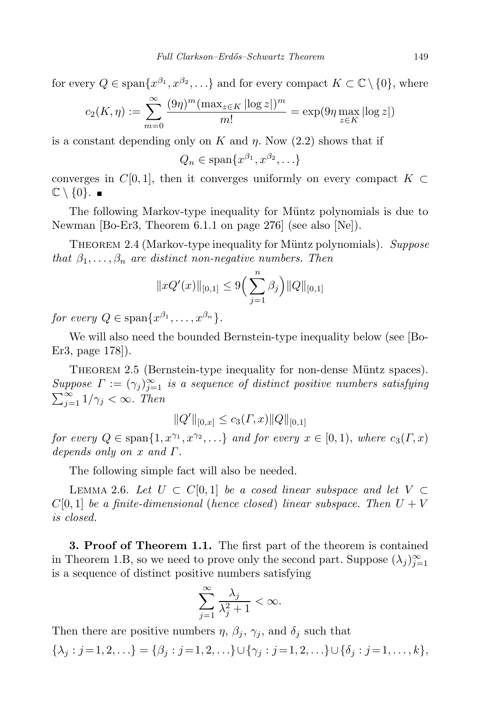for every  $Q \in \text{span}\{x^{\beta_1}, x^{\beta_2}, \ldots\}$  and for every compact  $K \subset \mathbb{C} \setminus \{0\}$ , where

$$
c_2(K, \eta) := \sum_{m=0}^{\infty} \frac{(9\eta)^m (\max_{z \in K} |\log z|)^m}{m!} = \exp(9\eta \max_{z \in K} |\log z|)
$$

is a constant depending only on  $K$  and  $\eta$ . Now (2.2) shows that if

$$
Q_n \in \text{span}\{x^{\beta_1}, x^{\beta_2}, \ldots\}
$$

converges in  $C[0,1]$ , then it converges uniformly on every compact  $K \subset$  $\mathbb{C} \setminus \{0\}$ .

The following Markov-type inequality for Müntz polynomials is due to Newman [Bo-Er3, Theorem 6.1.1 on page 276] (see also [Ne]).

THEOREM 2.4 (Markov-type inequality for Müntz polynomials). *Suppose that*  $\beta_1, \ldots, \beta_n$  *are distinct non-negative numbers. Then* 

$$
||xQ'(x)||_{[0,1]} \le 9\Big(\sum_{j=1}^n \beta_j\Big)||Q||_{[0,1]}
$$

 $for\ every\ Q \in \text{span}\{x^{\beta_1}, \ldots, x^{\beta_n}\}.$ 

We will also need the bounded Bernstein-type inequality below (see [Bo-Er3, page 178]).

THEOREM 2.5 (Bernstein-type inequality for non-dense Müntz spaces). *Suppose*  $\Gamma := (\gamma_j)_{j=1}^{\infty}$  *is a sequence of distinct positive numbers satisfying*  $\sum_{j=1}^{\infty} 1/\gamma_j < \infty$ *. Then* 

 $||Q'||_{[0,x]} \leq c_3(\Gamma,x) ||Q||_{[0,1]}$ 

for every  $Q \in \text{span}\{1, x^{\gamma_1}, x^{\gamma_2}, ...\}$  and for every  $x \in [0,1)$ , where  $c_3(\Gamma, x)$ *depends only on x and Γ.*

The following simple fact will also be needed.

LEMMA 2.6. Let  $U \subset C[0,1]$  be a cosed linear subspace and let  $V \subset$  $C[0,1]$  *be a finite-dimensional (hence closed) linear subspace. Then*  $U + V$ *is closed.*

**3. Proof of Theorem 1.1.** The first part of the theorem is contained in Theorem 1.B, so we need to prove only the second part. Suppose  $(\lambda_j)_{j=1}^{\infty}$ is a sequence of distinct positive numbers satisfying

$$
\sum_{j=1}^{\infty} \frac{\lambda_j}{\lambda_j^2 + 1} < \infty.
$$

Then there are positive numbers  $\eta$ ,  $\beta_i$ ,  $\gamma_j$ , and  $\delta_j$  such that  $\{\lambda_i : j = 1, 2, ...\} = \{\beta_i : j = 1, 2, ...\} \cup \{\gamma_i : j = 1, 2, ...\} \cup \{\delta_i : j = 1, ..., k\},\$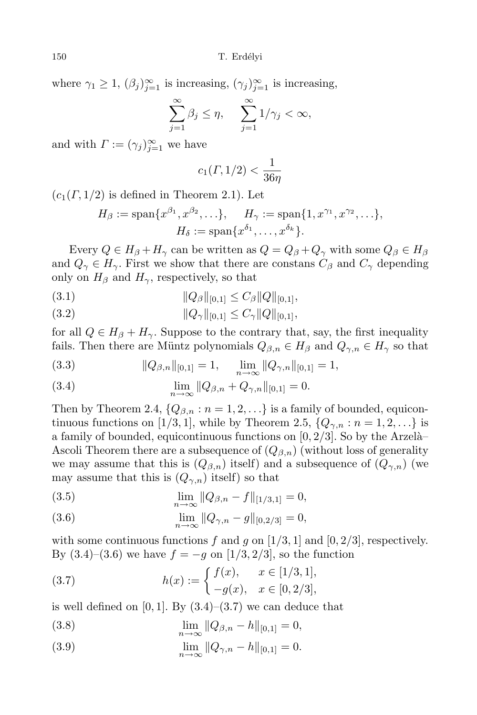where  $\gamma_1 \geq 1$ ,  $(\beta_j)_{j=1}^{\infty}$  is increasing,  $(\gamma_j)_{j=1}^{\infty}$  is increasing,

$$
\sum_{j=1}^{\infty} \beta_j \le \eta, \quad \sum_{j=1}^{\infty} 1/\gamma_j < \infty,
$$

and with  $\Gamma := (\gamma_j)_{j=1}^{\infty}$  we have

$$
c_1(\Gamma, 1/2) < \frac{1}{36\eta}
$$

 $(c_1(\Gamma, 1/2)$  is defined in Theorem 2.1). Let

$$
H_{\beta} := \text{span}\{x^{\beta_1}, x^{\beta_2}, \ldots\}, \quad H_{\gamma} := \text{span}\{1, x^{\gamma_1}, x^{\gamma_2}, \ldots\},
$$

$$
H_{\delta} := \text{span}\{x^{\delta_1}, \ldots, x^{\delta_k}\}.
$$

Every  $Q \in H_\beta + H_\gamma$  can be written as  $Q = Q_\beta + Q_\gamma$  with some  $Q_\beta \in H_\beta$ and  $Q_{\gamma} \in H_{\gamma}$ . First we show that there are constans  $C_{\beta}$  and  $C_{\gamma}$  depending only on  $H_\beta$  and  $H_\gamma$ , respectively, so that

$$
(3.1) \t\t\t ||Q_{\beta}||_{[0,1]} \leq C_{\beta} ||Q||_{[0,1]},
$$

$$
(3.2) \t\t\t ||Q_{\gamma}||_{[0,1]} \leq C_{\gamma} ||Q||_{[0,1]},
$$

for all  $Q \in H_\beta + H_\gamma$ . Suppose to the contrary that, say, the first inequality fails. Then there are Müntz polynomials  $Q_{\beta,n} \in H_{\beta}$  and  $Q_{\gamma,n} \in H_{\gamma}$  so that

(3.3) 
$$
\|Q_{\beta,n}\|_{[0,1]} = 1, \quad \lim_{n \to \infty} \|Q_{\gamma,n}\|_{[0,1]} = 1,
$$

(3.4) 
$$
\lim_{n \to \infty} ||Q_{\beta,n} + Q_{\gamma,n}||_{[0,1]} = 0.
$$

Then by Theorem 2.4,  $\{Q_{\beta,n}: n = 1, 2, \ldots\}$  is a family of bounded, equicontinuous functions on [1/3, 1], while by Theorem 2.5,  $\{Q_{\gamma,n}: n = 1, 2, \ldots\}$  is a family of bounded, equicontinuous functions on  $[0, 2/3]$ . So by the Arzelà– Ascoli Theorem there are a subsequence of  $(Q_{\beta,n})$  (without loss of generality we may assume that this is  $(Q_{\beta,n})$  itself) and a subsequence of  $(Q_{\gamma,n})$  (we may assume that this is  $(Q_{\gamma,n})$  itself) so that

(3.5) 
$$
\lim_{n \to \infty} ||Q_{\beta,n} - f||_{[1/3,1]} = 0,
$$

(3.6) 
$$
\lim_{n \to \infty} ||Q_{\gamma,n} - g||_{[0,2/3]} = 0,
$$

with some continuous functions  $f$  and  $g$  on [1/3, 1] and [0, 2/3], respectively. By  $(3.4)–(3.6)$  we have  $f = -g$  on  $[1/3, 2/3]$ , so the function

(3.7) 
$$
h(x) := \begin{cases} f(x), & x \in [1/3, 1], \\ -g(x), & x \in [0, 2/3], \end{cases}
$$

is well defined on  $[0, 1]$ . By  $(3.4)$ – $(3.7)$  we can deduce that

(3.8) 
$$
\lim_{n \to \infty} ||Q_{\beta,n} - h||_{[0,1]} = 0,
$$

(3.9) 
$$
\lim_{n \to \infty} ||Q_{\gamma,n} - h||_{[0,1]} = 0.
$$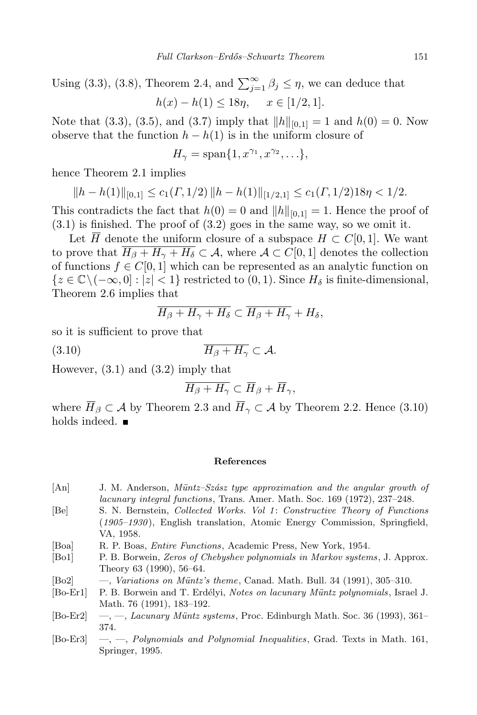Using (3.3), (3.8), Theorem 2.4, and  $\sum_{j=1}^{\infty} \beta_j \leq \eta$ , we can deduce that  $h(x) - h(1) \le 18\eta, \quad x \in [1/2, 1].$ 

Note that (3.3), (3.5), and (3.7) imply that  $||h||_{[0,1]} = 1$  and  $h(0) = 0$ . Now observe that the function  $h - h(1)$  is in the uniform closure of

$$
H_{\gamma} = \text{span}\{1, x^{\gamma_1}, x^{\gamma_2}, \ldots\},\
$$

hence Theorem 2.1 implies

$$
||h - h(1)||_{[0,1]} \le c_1(\Gamma, 1/2) ||h - h(1)||_{[1/2,1]} \le c_1(\Gamma, 1/2) 18\eta < 1/2.
$$

This contradicts the fact that  $h(0) = 0$  and  $||h||_{[0,1]} = 1$ . Hence the proof of  $(3.1)$  is finished. The proof of  $(3.2)$  goes in the same way, so we omit it.

Let  $\overline{H}$  denote the uniform closure of a subspace  $H \subset C[0,1]$ . We want to prove that  $\overline{H_{\beta} + H_{\gamma} + H_{\delta}} \subset A$ , where  $A \subset C[0,1]$  denotes the collection of functions  $f \in C[0,1]$  which can be represented as an analytic function on *{z* ∈  $\mathbb{C}\setminus(-\infty,0]$  :  $|z|$  < 1} restricted to (0, 1). Since  $H_\delta$  is finite-dimensional, Theorem 2.6 implies that

$$
\overline{H_{\beta}+H_{\gamma}+H_{\delta}}\subset \overline{H_{\beta}+H_{\gamma}}+H_{\delta},
$$

so it is sufficient to prove that

$$
(3.10) \t\t \overline{H_{\beta} + H_{\gamma}} \subset \mathcal{A}.
$$

However, (3.1) and (3.2) imply that

$$
\overline{H_{\beta}+H_{\gamma}}\subset \overline{H}_{\beta}+\overline{H}_{\gamma},
$$

where  $\overline{H}_{\beta} \subset A$  by Theorem 2.3 and  $\overline{H}_{\gamma} \subset A$  by Theorem 2.2. Hence (3.10) holds indeed.  $\blacksquare$ 

## **References**

- $[An]$  J. M. Anderson, *Müntz–Szász type approximation and the angular growth of lacunary integral functions*, Trans. Amer. Math. Soc. 169 (1972), 237–248.
- [Be] S. N. Bernstein, *Collected Works. Vol 1* : *Constructive Theory of Functions* (*1905–1930* ), English translation, Atomic Energy Commission, Springfield, VA, 1958.
- [Boa] R. P. Boas, *Entire Functions*, Academic Press, New York, 1954.
- [Bo1] P. B. Borwein, *Zeros of Chebyshev polynomials in Markov systems*, J. Approx. Theory 63 (1990), 56–64.
- [Bo2] —, *Variations on Müntz's theme*, Canad. Math. Bull. 34 (1991), 305–310.
- [Bo-Er1] P. B. Borwein and T. Erd´elyi, *Notes on lacunary Muntz ¨ polynomials*, Israel J. Math. 76 (1991), 183–192.
- [Bo-Er2] —, —, *Lacunary Muntz ¨ systems*, Proc. Edinburgh Math. Soc. 36 (1993), 361– 374.
- [Bo-Er3] —, —, *Polynomials and Polynomial Inequalities*, Grad. Texts in Math. 161, Springer, 1995.